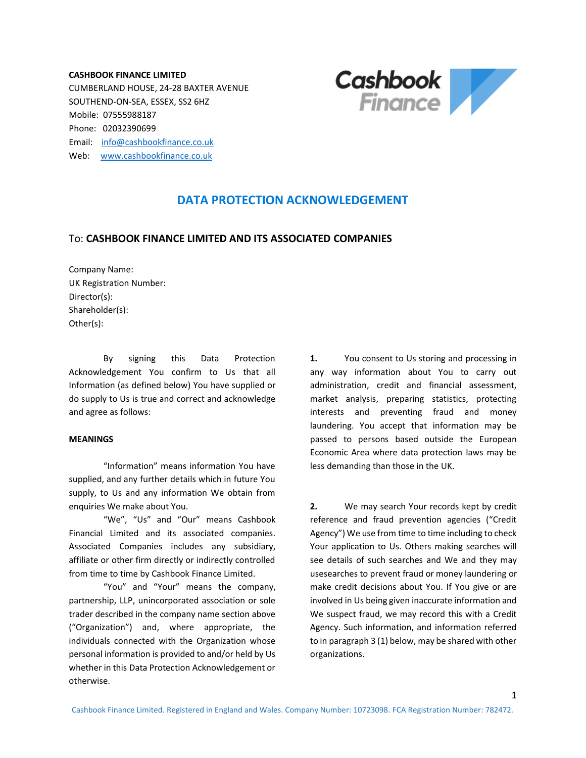**CASHBOOK FINANCE LIMITED** CUMBERLAND HOUSE, 24-28 BAXTER AVENUE SOUTHEND-ON-SEA, ESSEX, SS2 6HZ Mobile: 07555988187 Phone: 02032390699 Email: [info@cashbookfinance.co.uk](mailto:info@cashbookfinance.co.uk) Web: [www.cashbookfinance.co.uk](http://www.cashbookfinance.co.uk/)



## **DATA PROTECTION ACKNOWLEDGEMENT**

## To: **CASHBOOK FINANCE LIMITED AND ITS ASSOCIATED COMPANIES**

Company Name: UK Registration Number: Director(s): Shareholder(s): Other(s):

By signing this Data Protection Acknowledgement You confirm to Us that all Information (as defined below) You have supplied or do supply to Us is true and correct and acknowledge and agree as follows:

## **MEANINGS**

"Information" means information You have supplied, and any further details which in future You supply, to Us and any information We obtain from enquiries We make about You.

"We", "Us" and "Our" means Cashbook Financial Limited and its associated companies. Associated Companies includes any subsidiary, affiliate or other firm directly or indirectly controlled from time to time by Cashbook Finance Limited.

"You" and "Your" means the company, partnership, LLP, unincorporated association or sole trader described in the company name section above ("Organization") and, where appropriate, the individuals connected with the Organization whose personal information is provided to and/or held by Us whether in this Data Protection Acknowledgement or otherwise.

**1.** You consent to Us storing and processing in any way information about You to carry out administration, credit and financial assessment, market analysis, preparing statistics, protecting interests and preventing fraud and money laundering. You accept that information may be passed to persons based outside the European Economic Area where data protection laws may be less demanding than those in the UK.

**2.** We may search Your records kept by credit reference and fraud prevention agencies ("Credit Agency") We use from time to time including to check Your application to Us. Others making searches will see details of such searches and We and they may usesearches to prevent fraud or money laundering or make credit decisions about You. If You give or are involved in Us being given inaccurate information and We suspect fraud, we may record this with a Credit Agency. Such information, and information referred to in paragraph 3 (1) below, may be shared with other organizations.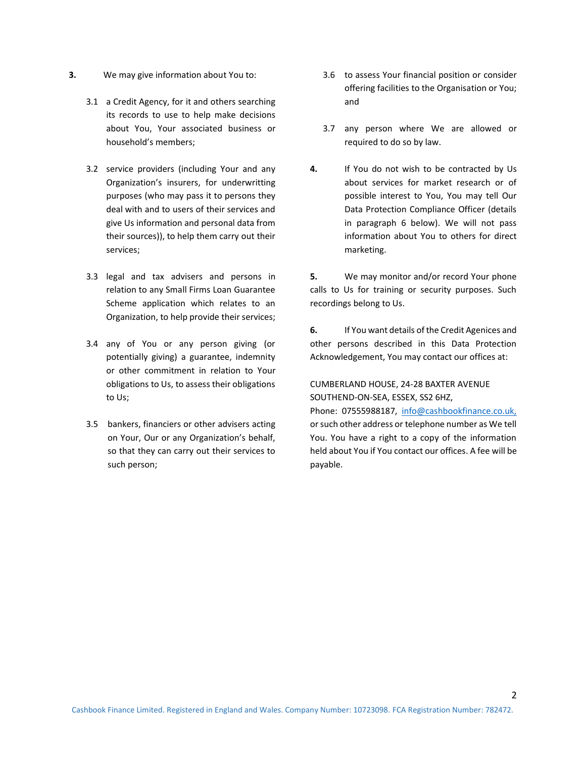- **3.** We may give information about You to:
	- 3.1 a Credit Agency, for it and others searching its records to use to help make decisions about You, Your associated business or household's members;
	- 3.2 service providers (including Your and any Organization's insurers, for underwritting purposes (who may pass it to persons they deal with and to users of their services and give Us information and personal data from their sources)), to help them carry out their services;
	- 3.3 legal and tax advisers and persons in relation to any Small Firms Loan Guarantee Scheme application which relates to an Organization, to help provide their services;
	- 3.4 any of You or any person giving (or potentially giving) a guarantee, indemnity or other commitment in relation to Your obligations to Us, to assess their obligations to Us;
	- 3.5 bankers, financiers or other advisers acting on Your, Our or any Organization's behalf, so that they can carry out their services to such person;
- 3.6 to assess Your financial position or consider offering facilities to the Organisation or You; and
- 3.7 any person where We are allowed or required to do so by law.
- **4.** If You do not wish to be contracted by Us about services for market research or of possible interest to You, You may tell Our Data Protection Compliance Officer (details in paragraph 6 below). We will not pass information about You to others for direct marketing.

**5.** We may monitor and/or record Your phone calls to Us for training or security purposes. Such recordings belong to Us.

**6.** If You want details of the Credit Agenices and other persons described in this Data Protection Acknowledgement, You may contact our offices at:

## CUMBERLAND HOUSE, 24-28 BAXTER AVENUE SOUTHEND-ON-SEA, ESSEX, SS2 6HZ,

Phone: 07555988187, [info@cashbookfinance.co.uk,](mailto:info@cashbookfinance.co.uk) or such other address or telephone number as We tell You. You have a right to a copy of the information held about You if You contact our offices. A fee will be payable.